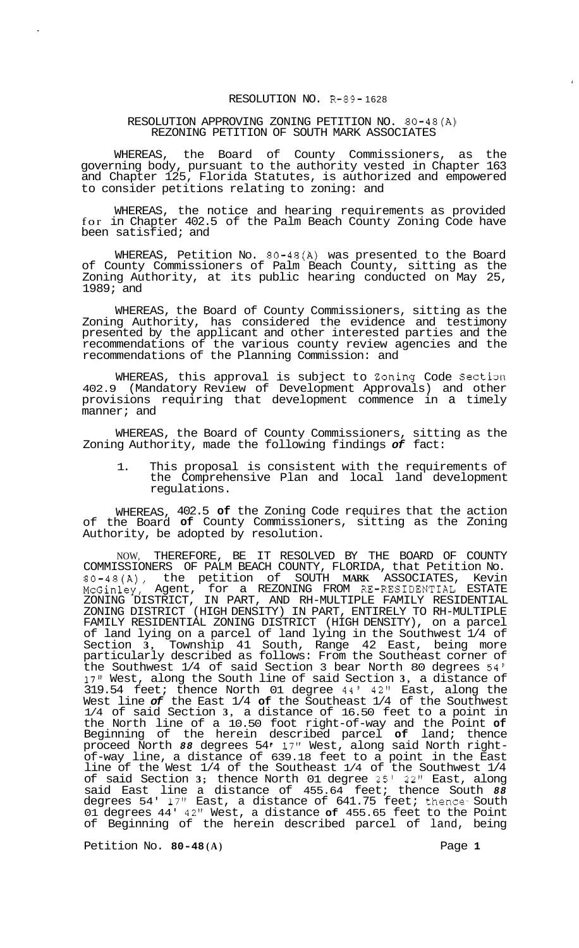## RESOLUTION NO. R-89- 1628

## RESOLUTION APPROVING ZONING PETITION NO. 80-48(A) REZONING PETITION OF SOUTH MARK ASSOCIATES

WHEREAS, the Board of County Commissioners, as the governing body, pursuant to the authority vested in Chapter 163 and Chapter 125, Florida Statutes, is authorized and empowered to consider petitions relating to zoning: and

WHEREAS, the notice and hearing requirements as provided for in Chapter 402.5 of the Palm Beach County Zoning Code have been satisfied; and

WHEREAS, Petition No. 80-48(A) was presented to the Board of County Commissioners of Palm Beach County, sitting as the Zoning Authority, at its public hearing conducted on May 25, 1989; and

WHEREAS, the Board of County Commissioners, sitting as the Zoning Authority, has considered the evidence and testimony presented by the applicant and other interested parties and the recommendations of the various county review agencies and the recommendations of the Planning Commission: and

WHEREAS, this approval is subject to Zoning Code Section 402.9 (Mandatory Review of Development Approvals) and other provisions requiring that development commence in a timely manner; and

WHEREAS, the Board of County Commissioners, sitting as the Zoning Authority, made the following findings *of* fact:

1. This proposal is consistent with the requirements of the Comprehensive Plan and local land development regulations.

WHEREAS, 402.5 **of** the Zoning Code requires that the action of the Board **of** County Commissioners, sitting as the Zoning Authority, be adopted by resolution.

NOW, THEREFORE, BE IT RESOLVED BY THE BOARD OF COUNTY COMMISSIONERS OF PALM BEACH COUNTY, FLORIDA, that Petition No. 80-48(A), the petition of SOUTH **MARK** ASSOCIATES, Kevin McGinley, Agent, for a REZONING FROM RE-RESIDENTIAL ESTATE ZONING DISTRICT, IN PART, AND RH-MULTIPLE FAMILY RESIDENTIAL ZONING DISTRICT (HIGH DENSITY) IN PART, ENTIRELY TO RH-MULTIPLE FAMILY RESIDENTIAL ZONING DISTRICT (HIGH DENSITY), on a parcel of land lying on a parcel of land lying in the Southwest 1/4 of Section **3,** Township 41 South, Range 42 East, being more particularly described as follows: From the Southeast corner of the Southwest 1/4 of said Section 3 bear North 80 degrees 54' 17" West, along the South line of said Section **3,** a distance of 319.54 feet; thence North 01 degree 44' 42" East, along the West line *of* the East 1/4 **of** the Southeast 1/4 of the Southwest 1/4 of said Section **3,** a distance of 16.50 feet to a point in the North line of a 10.50 foot right-of-way and the Point **of**  Beginning of the herein described parcel **of** land; thence proceed North 88 degrees 54' 17" West, along said North right-<br>of-way line, a distance of 639.18 feet to a point in the East line of the West 1/4 of the Southeast 1/4 of the Southwest 1/4 of said Section **3;** thence North 01 degree 25' 22" East, along said East line a distance of 455.64 feet; thence South *88*  degrees 54' 17'' East, a distance of 641.75 feet; thence- South 01 degrees 44' 42" West, a distance **of** 455.65 feet to the Point of Beginning of the herein described parcel of land, being

Petition No. 80-48(A) Page 1